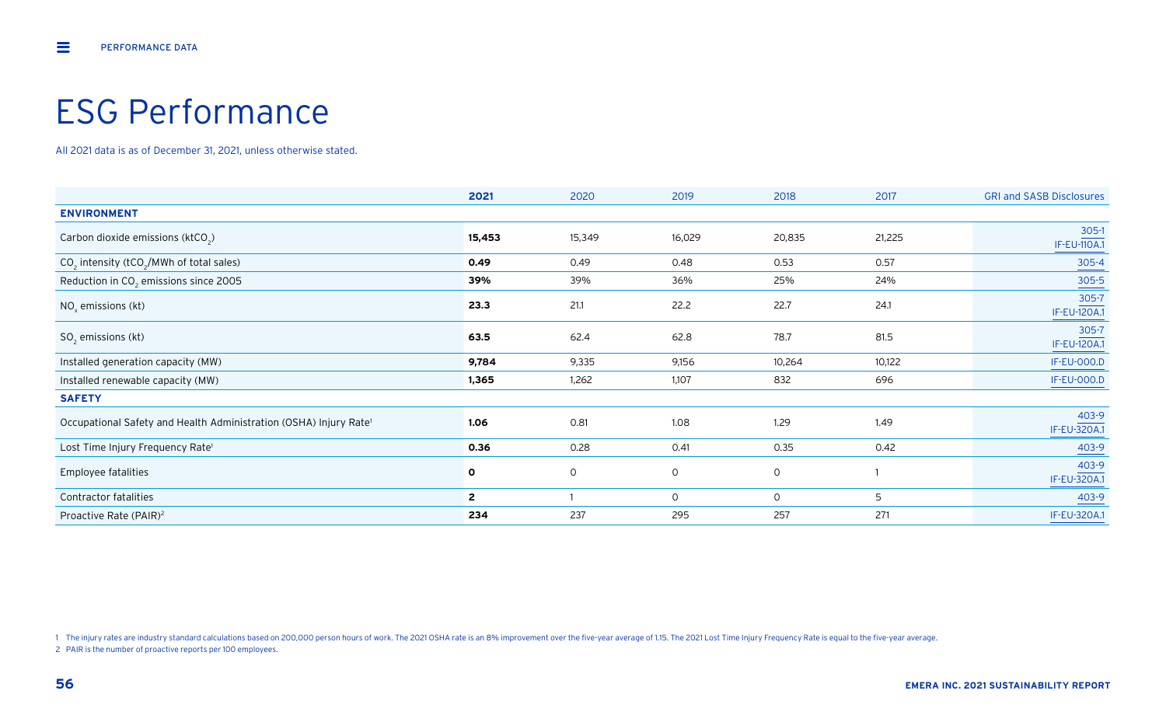# ESG Performance

All 2021 data is as of December 31, 2021, unless otherwise stated.

|                                                                               | 2021         | 2020   | 2019   | 2018         | 2017   | <b>GRI and SASB Disclosures</b> |
|-------------------------------------------------------------------------------|--------------|--------|--------|--------------|--------|---------------------------------|
| <b>ENVIRONMENT</b>                                                            |              |        |        |              |        |                                 |
| Carbon dioxide emissions (ktCO <sub>2</sub> )                                 | 15,453       | 15,349 | 16,029 | 20,835       | 21,225 | 305-1<br><b>IF-EU-110A.1</b>    |
| $CO2$ intensity (tCO <sub>2</sub> /MWh of total sales)                        | 0.49         | 0.49   | 0.48   | 0.53         | 0.57   | $305 - 4$                       |
| Reduction in CO <sub>2</sub> emissions since 2005                             | 39%          | 39%    | 36%    | 25%          | 24%    | $305 - 5$                       |
| $NOx$ emissions (kt)                                                          | 23.3         | 21.1   | 22.2   | 22.7         | 24.1   | 305-7<br>IF-EU-120A.1           |
| $SO2$ emissions (kt)                                                          | 63.5         | 62.4   | 62.8   | 78.7         | 81.5   | 305-7<br><b>IF-EU-120A.1</b>    |
| Installed generation capacity (MW)                                            | 9,784        | 9,335  | 9,156  | 10,264       | 10,122 | <b>IF-EU-000.D</b>              |
| Installed renewable capacity (MW)                                             | 1,365        | 1,262  | 1,107  | 832          | 696    | <b>IF-EU-000.D</b>              |
| <b>SAFETY</b>                                                                 |              |        |        |              |        |                                 |
| Occupational Safety and Health Administration (OSHA) Injury Rate <sup>1</sup> | 1.06         | 0.81   | 1.08   | 1.29         | 1.49   | 403-9<br>IF-EU-320A.1           |
| Lost Time Injury Frequency Rate <sup>1</sup>                                  | 0.36         | 0.28   | 0.41   | 0.35         | 0.42   | 403-9                           |
| Employee fatalities                                                           | $\mathbf{o}$ | 0      | 0      | $\mathsf{O}$ |        | 403-9<br>IF-EU-320A.1           |
| Contractor fatalities                                                         | $\mathbf{2}$ |        | 0      | $\circ$      | 5      | 403-9                           |
| Proactive Rate (PAIR) <sup>2</sup>                                            | 234          | 237    | 295    | 257          | 271    | IF-EU-320A.1                    |

1 The injury rates are industry standard calculations based on 200,000 person hours of work. The 2021 OSHA rate is an 8% improvement over the five-year average of 1.15. The 2021 Lost Time Injury Frequency Rate is equal to

2 PAIR is the number of proactive reports per 100 employees.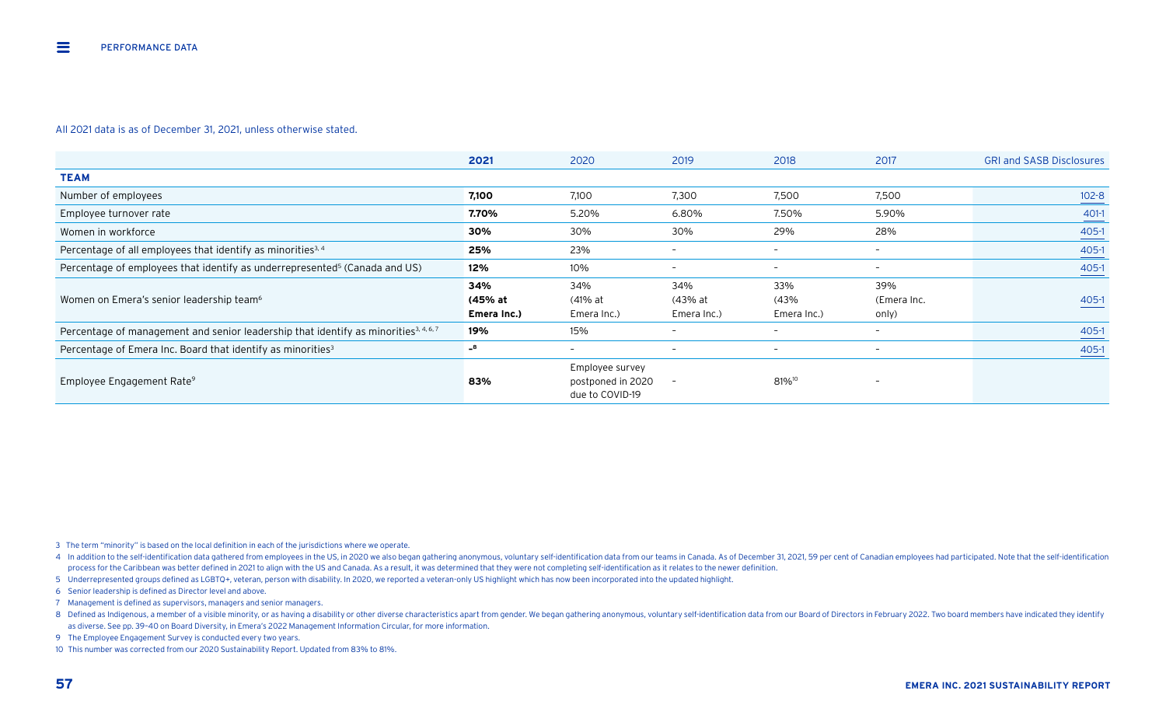|                                                                                                  | 2021                          | 2020                                                    | 2019                          | 2018                       | 2017                        | <b>GRI and SASB Disclosures</b> |
|--------------------------------------------------------------------------------------------------|-------------------------------|---------------------------------------------------------|-------------------------------|----------------------------|-----------------------------|---------------------------------|
| <b>TEAM</b>                                                                                      |                               |                                                         |                               |                            |                             |                                 |
| Number of employees                                                                              | 7,100                         | 7,100                                                   | 7,300                         | 7,500                      | 7,500                       | $102 - 8$                       |
| Employee turnover rate                                                                           | 7.70%                         | 5.20%                                                   | 6.80%                         | 7.50%                      | 5.90%                       | 401-1                           |
| Women in workforce                                                                               | 30%                           | 30%                                                     | 30%                           | 29%                        | 28%                         | 405-1                           |
| Percentage of all employees that identify as minorities <sup>3, 4</sup>                          | 25%                           | 23%                                                     | $\overline{\phantom{0}}$      | $\overline{\phantom{0}}$   | $\overline{\phantom{0}}$    | $405-1$                         |
| Percentage of employees that identify as underrepresented <sup>5</sup> (Canada and US)           | 12%                           | 10%                                                     |                               | $\overline{\phantom{0}}$   | $\overline{\phantom{0}}$    | 405-1                           |
| Women on Emera's senior leadership team <sup>6</sup>                                             | 34%<br>(45% at<br>Emera Inc.) | 34%<br>(41% at<br>Emera Inc.)                           | 34%<br>(43% at<br>Emera Inc.) | 33%<br>(43%<br>Emera Inc.) | 39%<br>(Emera Inc.<br>only) | $405 - 1$                       |
| Percentage of management and senior leadership that identify as minorities <sup>3, 4, 6, 7</sup> | 19%                           | 15%                                                     | -                             | $\overline{\phantom{0}}$   | $\overline{\phantom{0}}$    | 405-1                           |
| Percentage of Emera Inc. Board that identify as minorities <sup>3</sup>                          | $-8$                          | $\overline{\phantom{0}}$                                | $\overline{\phantom{a}}$      | $\overline{\phantom{0}}$   | $\overline{\phantom{a}}$    | 405-1                           |
| Employee Engagement Rate <sup>9</sup>                                                            | 83%                           | Employee survey<br>postponed in 2020<br>due to COVID-19 |                               | 81% <sup>10</sup>          | -                           |                                 |

3 The term "minority" is based on the local definition in each of the jurisdictions where we operate.

4 In addition to the self-identification data gathered from employees in the US, in 2020 we also began gathering anonymous, voluntary self-identification data from our teams in Canada. As of December 31, 2021, 59 per cent process for the Caribbean was better defined in 2021 to align with the US and Canada. As a result, it was determined that they were not completing self-identification as it relates to the newer definition.

5 Underrepresented groups defined as LGBTQ+, veteran, person with disability. In 2020, we reported a veteran-only US highlight which has now been incorporated into the updated highlight.

6 Senior leadership is defined as Director level and above.

7 Management is defined as supervisors, managers and senior managers.

8 Defined as Indigenous, a member of a visible minority, or as having a disability or other diverse characteristics apart from gender. We began gathering anonymous, voluntary self-identification data from our Board of Dire as diverse. See pp. 39–40 on Board Diversity, in Emera's 2022 Management Information Circular, for more information.

9 The Employee Engagement Survey is conducted every two years.

10 This number was corrected from our 2020 Sustainability Report. Updated from 83% to 81%.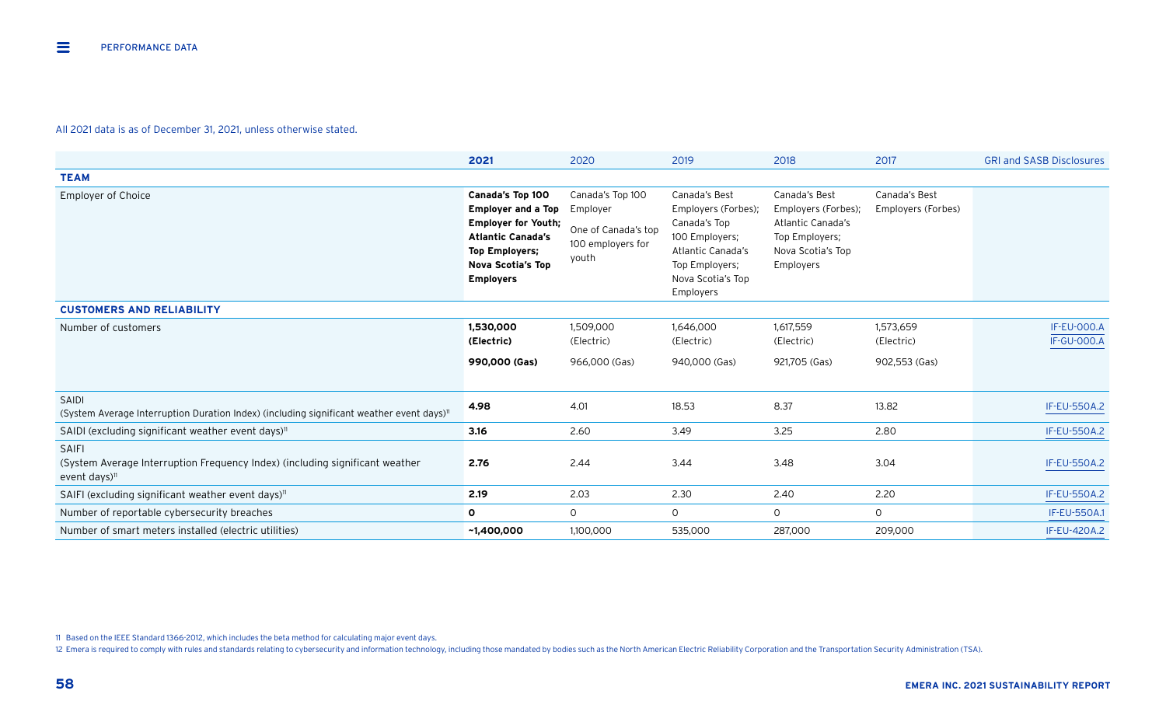|                                                                                                                  | 2021                                                                                                                                                                             | 2020                                                                              | 2019                                                                                                                                            | 2018                                                                                                          | 2017                                     | <b>GRI and SASB Disclosures</b>          |
|------------------------------------------------------------------------------------------------------------------|----------------------------------------------------------------------------------------------------------------------------------------------------------------------------------|-----------------------------------------------------------------------------------|-------------------------------------------------------------------------------------------------------------------------------------------------|---------------------------------------------------------------------------------------------------------------|------------------------------------------|------------------------------------------|
| <b>TEAM</b>                                                                                                      |                                                                                                                                                                                  |                                                                                   |                                                                                                                                                 |                                                                                                               |                                          |                                          |
| <b>Employer of Choice</b>                                                                                        | Canada's Top 100<br><b>Employer and a Top</b><br><b>Employer for Youth;</b><br><b>Atlantic Canada's</b><br><b>Top Employers;</b><br><b>Nova Scotia's Top</b><br><b>Employers</b> | Canada's Top 100<br>Employer<br>One of Canada's top<br>100 employers for<br>youth | Canada's Best<br>Employers (Forbes);<br>Canada's Top<br>100 Employers;<br>Atlantic Canada's<br>Top Employers;<br>Nova Scotia's Top<br>Employers | Canada's Best<br>Employers (Forbes);<br>Atlantic Canada's<br>Top Employers;<br>Nova Scotia's Top<br>Employers | Canada's Best<br>Employers (Forbes)      |                                          |
| <b>CUSTOMERS AND RELIABILITY</b>                                                                                 |                                                                                                                                                                                  |                                                                                   |                                                                                                                                                 |                                                                                                               |                                          |                                          |
| Number of customers                                                                                              | 1,530,000<br>(Electric)<br>990,000 (Gas)                                                                                                                                         | 1,509,000<br>(Electric)<br>966,000 (Gas)                                          | 1,646,000<br>(Electric)<br>940,000 (Gas)                                                                                                        | 1,617,559<br>(Electric)<br>921,705 (Gas)                                                                      | 1,573,659<br>(Electric)<br>902,553 (Gas) | <b>IF-EU-000.A</b><br><b>IF-GU-000.A</b> |
| SAIDI<br>(System Average Interruption Duration Index) (including significant weather event days) <sup>11</sup>   | 4.98                                                                                                                                                                             | 4.01                                                                              | 18.53                                                                                                                                           | 8.37                                                                                                          | 13.82                                    | <b>IF-EU-550A.2</b>                      |
| SAIDI (excluding significant weather event days) <sup>11</sup>                                                   | 3.16                                                                                                                                                                             | 2.60                                                                              | 3.49                                                                                                                                            | 3.25                                                                                                          | 2.80                                     | <b>IF-EU-550A.2</b>                      |
| <b>SAIFI</b><br>(System Average Interruption Frequency Index) (including significant weather<br>event days) $11$ | 2.76                                                                                                                                                                             | 2.44                                                                              | 3.44                                                                                                                                            | 3.48                                                                                                          | 3.04                                     | <b>IF-EU-550A.2</b>                      |
| SAIFI (excluding significant weather event days) <sup>11</sup>                                                   | 2.19                                                                                                                                                                             | 2.03                                                                              | 2.30                                                                                                                                            | 2.40                                                                                                          | 2.20                                     | <b>IF-EU-550A.2</b>                      |
| Number of reportable cybersecurity breaches                                                                      | $\mathbf{o}$                                                                                                                                                                     | $\circ$                                                                           | $\circ$                                                                                                                                         | $\mathsf{O}$                                                                                                  | $\circ$                                  | <b>IF-EU-550A.1</b>                      |
| Number of smart meters installed (electric utilities)                                                            | ~1,400,000                                                                                                                                                                       | 1,100,000                                                                         | 535,000                                                                                                                                         | 287,000                                                                                                       | 209,000                                  | <b>IF-EU-420A.2</b>                      |

11 Based on the IEEE Standard 1366-2012, which includes the beta method for calculating major event days.

12 Emera is required to comply with rules and standards relating to cybersecurity and information technology, including those mandated by bodies such as the North American Electric Reliability Corporation and the Transport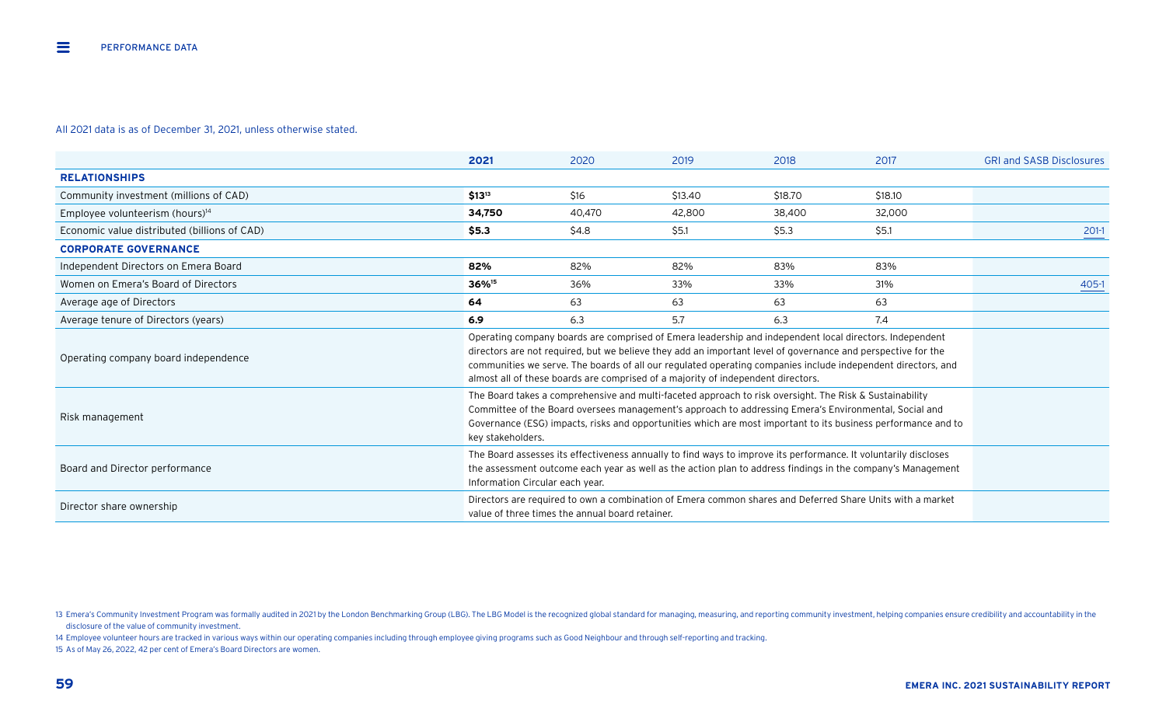|                                              | 2021                                                                                                                                                                                                                                                                                                                                                                                                                        | 2020   | 2019    | 2018    | 2017    | <b>GRI and SASB Disclosures</b> |
|----------------------------------------------|-----------------------------------------------------------------------------------------------------------------------------------------------------------------------------------------------------------------------------------------------------------------------------------------------------------------------------------------------------------------------------------------------------------------------------|--------|---------|---------|---------|---------------------------------|
| <b>RELATIONSHIPS</b>                         |                                                                                                                                                                                                                                                                                                                                                                                                                             |        |         |         |         |                                 |
| Community investment (millions of CAD)       | $$13^{13}$                                                                                                                                                                                                                                                                                                                                                                                                                  | \$16   | \$13.40 | \$18.70 | \$18.10 |                                 |
| Employee volunteerism (hours) <sup>14</sup>  | 34,750                                                                                                                                                                                                                                                                                                                                                                                                                      | 40,470 | 42,800  | 38,400  | 32,000  |                                 |
| Economic value distributed (billions of CAD) | \$5.3\$                                                                                                                                                                                                                                                                                                                                                                                                                     | \$4.8  | \$5.1   | \$5.3   | \$5.1   | $201-1$                         |
| <b>CORPORATE GOVERNANCE</b>                  |                                                                                                                                                                                                                                                                                                                                                                                                                             |        |         |         |         |                                 |
| Independent Directors on Emera Board         | 82%                                                                                                                                                                                                                                                                                                                                                                                                                         | 82%    | 82%     | 83%     | 83%     |                                 |
| Women on Emera's Board of Directors          | 36% <sup>15</sup>                                                                                                                                                                                                                                                                                                                                                                                                           | 36%    | 33%     | 33%     | 31%     | 405-1                           |
| Average age of Directors                     | 64                                                                                                                                                                                                                                                                                                                                                                                                                          | 63     | 63      | 63      | 63      |                                 |
| Average tenure of Directors (years)          | 6.9                                                                                                                                                                                                                                                                                                                                                                                                                         | 6.3    | 5.7     | 6.3     | 7.4     |                                 |
| Operating company board independence         | Operating company boards are comprised of Emera leadership and independent local directors. Independent<br>directors are not required, but we believe they add an important level of governance and perspective for the<br>communities we serve. The boards of all our regulated operating companies include independent directors, and<br>almost all of these boards are comprised of a majority of independent directors. |        |         |         |         |                                 |
| Risk management                              | The Board takes a comprehensive and multi-faceted approach to risk oversight. The Risk & Sustainability<br>Committee of the Board oversees management's approach to addressing Emera's Environmental, Social and<br>Governance (ESG) impacts, risks and opportunities which are most important to its business performance and to<br>key stakeholders.                                                                      |        |         |         |         |                                 |
| Board and Director performance               | The Board assesses its effectiveness annually to find ways to improve its performance. It voluntarily discloses<br>the assessment outcome each year as well as the action plan to address findings in the company's Management<br>Information Circular each year.                                                                                                                                                           |        |         |         |         |                                 |
| Director share ownership                     | Directors are required to own a combination of Emera common shares and Deferred Share Units with a market<br>value of three times the annual board retainer.                                                                                                                                                                                                                                                                |        |         |         |         |                                 |

14 Employee volunteer hours are tracked in various ways within our operating companies including through employee giving programs such as Good Neighbour and through self-reporting and tracking.

15 As of May 26, 2022, 42 per cent of Emera's Board Directors are women.

<sup>13</sup> Emera's Community Investment Program was formally audited in 2021 by the London Benchmarking Group (LBG). The LBG Model is the recognized global standard for managing, measuring, and reporting community investment, help disclosure of the value of community investment.